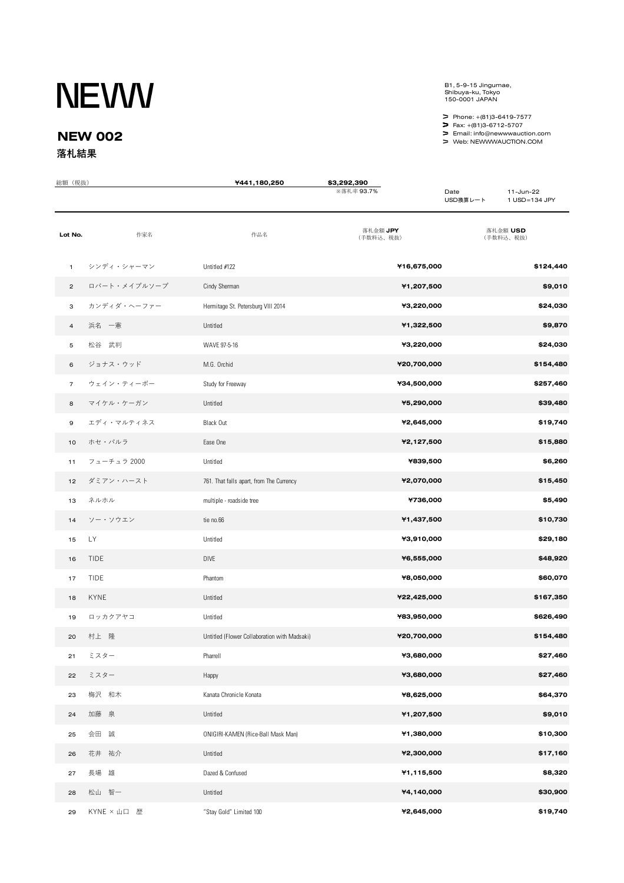## **NEWW**

## **NEW 002 落札結果**

B1, 5-9-15 Jingumae, Shibuya-ku, Tokyo 150-0001 JAPAN

Phone: +(81)3-6419-7577

Fax: +(81)3-6712-5707

Email: info@newwwauction.com Web: NEWWWAUCTION.COM

| 総額 (税抜)        |              | ¥441,180,250                                 | \$3,292,390<br>※落札率 93.7% | Date<br>USD換算レート | 11-Jun-22<br>1 USD=134 JPY |
|----------------|--------------|----------------------------------------------|---------------------------|------------------|----------------------------|
| Lot No.        | 作家名          | 作品名                                          | 落札金額 JPY<br>(手数料込、税抜)     |                  | 落札金額 USD<br>(手数料込、税抜)      |
| $\mathbf{1}$   | シンディ・シャーマン   | Untitled #122                                | ¥16,675,000               |                  | \$124,440                  |
| $\overline{c}$ | ロバート・メイプルソープ | Cindy Sherman                                | ¥1,207,500                |                  | \$9,010                    |
| з              | カンディダ・ヘーファー  | Hermitage St. Petersburg VIII 2014           | ¥3,220,000                |                  | \$24,030                   |
| $\overline{a}$ | 浜名の一憲        | Untitled                                     | ¥1,322,500                |                  | \$9,870                    |
| 5              | 松谷 武判        | WAVE 97-5-16                                 | ¥3,220,000                |                  | \$24,030                   |
| 6              | ジョナス・ウッド     | M.G. Orchid                                  | ¥20,700,000               |                  | \$154,480                  |
| $\overline{7}$ | ウェイン・ティーボー   | Study for Freeway                            | ¥34,500,000               |                  | \$257,460                  |
| 8              | マイケル・ケーガン    | Untitled                                     | ¥5,290,000                |                  | \$39,480                   |
| 9              | エディ・マルティネス   | Black Out                                    | ¥2,645,000                |                  | \$19,740                   |
| 10             | ホセ・パルラ       | Ease One                                     | ¥2,127,500                |                  | \$15,880                   |
| 11             | フューチュラ 2000  | Untitled                                     | ¥839,500                  |                  | \$6,260                    |
| 12             | ダミアン・ハースト    | 761. That falls apart, from The Currency     | ¥2,070,000                |                  | \$15,450                   |
| 13             | ネルホル         | multiple - roadside tree                     | ¥736,000                  |                  | \$5,490                    |
| 14             | ソー・ソウエン      | tie no.66                                    | ¥1,437,500                |                  | \$10,730                   |
| 15             | LY           | Untitled                                     | ¥3,910,000                |                  | \$29,180                   |
| 16             | <b>TIDE</b>  | DIVE                                         | ¥6,555,000                |                  | \$48,920                   |
| 17             | <b>TIDE</b>  | Phantom                                      | ¥8,050,000                |                  | \$60,070                   |
| 18             | <b>KYNE</b>  | Untitled                                     | ¥22,425,000               |                  | \$167,350                  |
| 19             | ロッカクアヤコ      | Untitled                                     | ¥83,950,000               |                  | \$626,490                  |
| 20             | 村上 隆         | Untitled (Flower Collaboration with Madsaki) | ¥20,700,000               |                  | \$154,480                  |
| 21             | ミスター         | Pharrell                                     | ¥3,680,000                |                  | \$27,460                   |
| 22             | ミスター         | Happy                                        | ¥3,680,000                |                  | \$27,460                   |
| 23             | 梅沢 和木        | Kanata Chronicle Konata                      | ¥8,625,000                |                  | \$64,370                   |
| 24             | 加藤 泉         | Untitled                                     | ¥1,207,500                |                  | \$9,010                    |
| 25             | 会田 誠         | ONIGIRI-KAMEN (Rice-Ball Mask Man)           | ¥1,380,000                |                  | \$10,300                   |
| 26             | 花井 祐介        | Untitled                                     | ¥2,300,000                |                  | \$17,160                   |
| 27             | 長場 雄         | Dazed & Confused                             | ¥1,115,500                |                  | \$8,320                    |
| 28             | 松山 智一        | Untitled                                     | ¥4,140,000                |                  | \$30,900                   |
| 29             | KYNE × 山口 歴  | "Stay Gold" Limited 100                      | ¥2,645,000                |                  | \$19,740                   |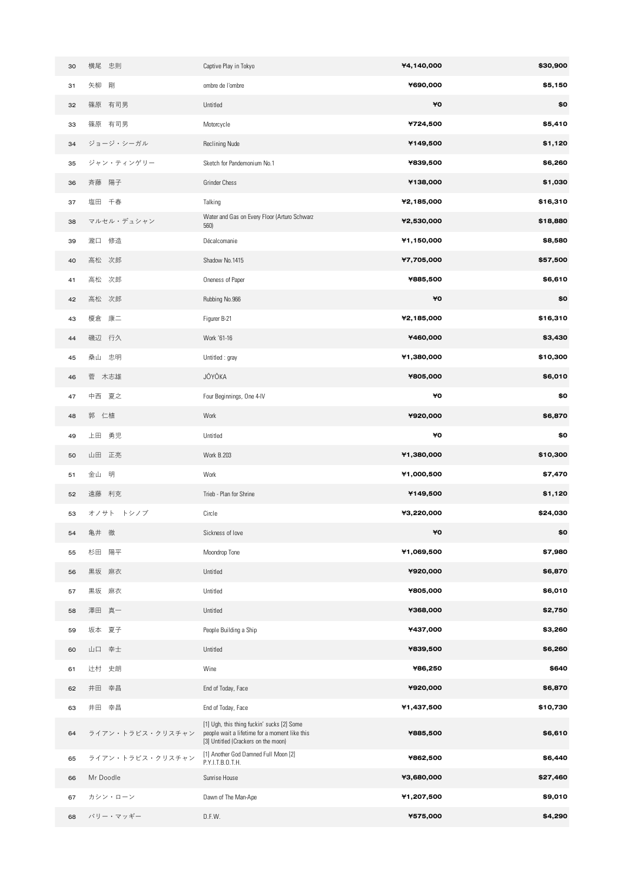| 30 | 横尾 忠則            | Captive Play in Tokyo                                                                                                              | ¥4,140,000 | \$30,900 |
|----|------------------|------------------------------------------------------------------------------------------------------------------------------------|------------|----------|
| 31 | 矢柳<br>剛          | ombre de l'ombre                                                                                                                   | ¥690,000   | \$5,150  |
| 32 | 篠原 有司男           | Untitled                                                                                                                           | ¥Ο         | \$0      |
| 33 | 篠原 有司男           | Motorcycle                                                                                                                         | ¥724,500   | \$5,410  |
| 34 | ジョージ・シーガル        | <b>Reclining Nude</b>                                                                                                              | ¥149,500   | \$1,120  |
| 35 | ジャン・ティンゲリー       | Sketch for Pandemonium No.1                                                                                                        | ¥839,500   | \$6,260  |
| 36 | 斉藤 陽子            | <b>Grinder Chess</b>                                                                                                               | ¥138,000   | \$1,030  |
| 37 | 塩田 千春            | Talking                                                                                                                            | ¥2,185,000 | \$16,310 |
| 38 | マルセル・デュシャン       | Water and Gas on Every Floor (Arturo Schwarz<br>560)                                                                               | ¥2,530,000 | \$18,880 |
| 39 | 瀧口 修造            | Décalcomanie                                                                                                                       | ¥1,150,000 | \$8,580  |
| 40 | 高松 次郎            | Shadow No.1415                                                                                                                     | ¥7,705,000 | \$57,500 |
| 41 | 高松 次郎            | Oneness of Paper                                                                                                                   | ¥885,500   | \$6,610  |
| 42 | 高松 次郎            | Rubbing No.966                                                                                                                     | ¥Ο         | \$0      |
| 43 | 榎倉 康二            | Figurer B-21                                                                                                                       | ¥2,185,000 | \$16,310 |
| 44 | 磯辺 行久            | Work '61-16                                                                                                                        | ¥460,000   | \$3,430  |
| 45 | 桑山 忠明            | Untitled: gray                                                                                                                     | ¥1,380,000 | \$10,300 |
| 46 | 菅 木志雄            | JŌYŌKA                                                                                                                             | ¥805,000   | \$6,010  |
| 47 | 中西 夏之            | Four Beginnings, One 4-IV                                                                                                          | ¥O         | \$0      |
| 48 | 郭 仁植             | Work                                                                                                                               | ¥920,000   | \$6,870  |
| 49 | 上田 勇児            | Untitled                                                                                                                           | ¥O         | \$0      |
| 50 | 山田 正亮            | <b>Work B.203</b>                                                                                                                  | ¥1,380,000 | \$10,300 |
| 51 | 金山<br>明          | Work                                                                                                                               | ¥1,000,500 | \$7,470  |
| 52 | 遠藤 利克            | Trieb - Plan for Shrine                                                                                                            | ¥149,500   | \$1,120  |
| 53 | オノサト トシノブ        | Circle                                                                                                                             | ¥3,220,000 | \$24,030 |
| 54 | 亀井 徹             | Sickness of love                                                                                                                   | ¥O         | \$0      |
| 55 | 杉田 陽平            | Moondrop Tone                                                                                                                      | ¥1,069,500 | \$7,980  |
| 56 | 黒坂 麻衣            | Untitled                                                                                                                           | ¥920,000   | \$6,870  |
| 57 | 黒坂 麻衣            | Untitled                                                                                                                           | ¥805,000   | \$6,010  |
| 58 | 澤田 真一            | Untitled                                                                                                                           | ¥368,000   | \$2,750  |
| 59 | 坂本 夏子            | People Building a Ship                                                                                                             | ¥437,000   | \$3,260  |
| 60 | 山口 幸士            | Untitled                                                                                                                           | ¥839,500   | \$6,260  |
| 61 | 辻村 史朗            | Wine                                                                                                                               | ¥86,250    | \$640    |
| 62 | 井田 幸昌            | End of Today, Face                                                                                                                 | ¥920,000   | \$6,870  |
| 63 | 井田 幸昌            | End of Today, Face                                                                                                                 | ¥1,437,500 | \$10,730 |
| 64 | ライアン・トラビス・クリスチャン | [1] Ugh, this thing fuckin' sucks [2] Some<br>people wait a lifetime for a moment like this<br>[3] Untitled (Crackers on the moon) | ¥885,500   | \$6,610  |
| 65 | ライアン・トラビス・クリスチャン | [1] Another God Damned Full Moon [2]<br>P.Y.I.T.B.O.T.H.                                                                           | ¥862,500   | \$6,440  |
| 66 | Mr Doodle        | Sunrise House                                                                                                                      | ¥3,680,000 | \$27,460 |
| 67 | カシン・ローン          | Dawn of The Man-Ape                                                                                                                | ¥1,207,500 | \$9,010  |
| 68 | バリー・マッギー         | D.F.W.                                                                                                                             | ¥575,000   | \$4,290  |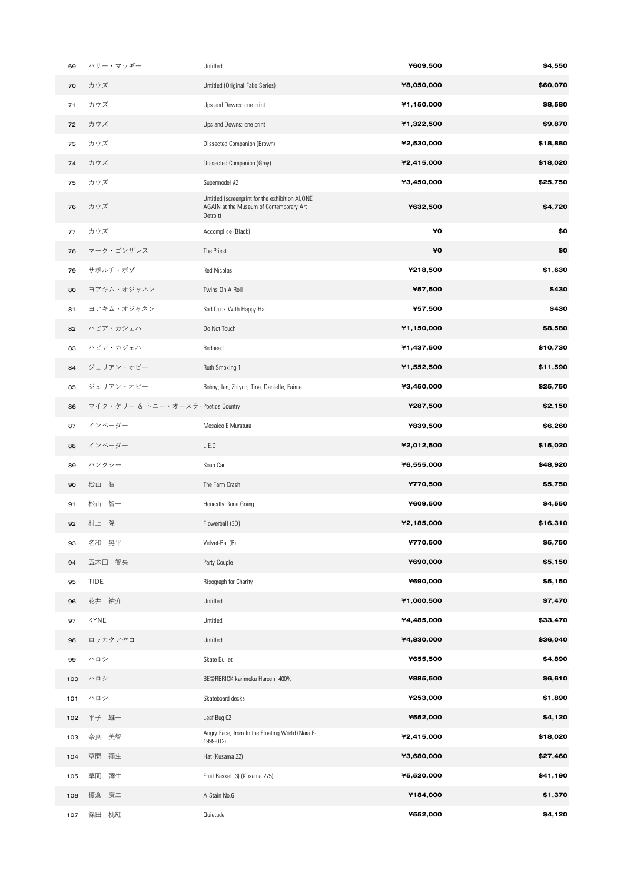| 69  | バリー・マッギー                           | Untitled                                                                                              | ¥609,500   | \$4,550  |
|-----|------------------------------------|-------------------------------------------------------------------------------------------------------|------------|----------|
| 70  | カウズ                                | Untitled (Original Fake Series)                                                                       | ¥8,050,000 | \$60,070 |
| 71  | カウズ                                | Ups and Downs: one print                                                                              | ¥1,150,000 | \$8,580  |
| 72  | カウズ                                | Ups and Downs: one print                                                                              | ¥1,322,500 | \$9,870  |
| 73  | カウズ                                | Dissected Companion (Brown)                                                                           | ¥2,530,000 | \$18,880 |
| 74  | カウズ                                | Dissected Companion (Grey)                                                                            | ¥2,415,000 | \$18,020 |
| 75  | カウズ                                | Supermodel #2                                                                                         | ¥3,450,000 | \$25,750 |
| 76  | カウズ                                | Untitled (screenprint for the exhibition ALONE<br>AGAIN at the Museum of Contemporary Art<br>Detroit) | ¥632,500   | \$4,720  |
| 77  | カウズ                                | Accomplice (Black)                                                                                    | ¥O         | \$0      |
| 78  | マーク・ゴンザレス                          | The Priest                                                                                            | ¥O         | \$0      |
| 79  | サボルチ・ボゾ                            | <b>Red Nicolas</b>                                                                                    | ¥218,500   | \$1,630  |
| 80  | ヨアキム・オジャネン                         | Twins On A Roll                                                                                       | ¥57,500    | \$430    |
| 81  | ヨアキム・オジャネン                         | Sad Duck With Happy Hat                                                                               | ¥57,500    | \$430    |
| 82  | ハビア・カジェハ                           | Do Not Touch                                                                                          | ¥1,150,000 | \$8,580  |
| 83  | ハビア・カジェハ                           | Redhead                                                                                               | ¥1,437,500 | \$10,730 |
| 84  | ジュリアン・オピー                          | <b>Ruth Smoking 1</b>                                                                                 | ¥1,552,500 | \$11,590 |
| 85  | ジュリアン・オピー                          | Bobby, Ian, Zhiyun, Tina, Danielle, Faime                                                             | ¥3,450,000 | \$25,750 |
| 86  | マイク・ケリー & トニー・オースラ-Poetics Country |                                                                                                       | ¥287,500   | \$2,150  |
| 87  | インベーダー                             | Mosaico E Muratura                                                                                    | ¥839,500   | \$6,260  |
| 88  | インベーダー                             | L.E.D                                                                                                 | ¥2,012,500 | \$15,020 |
| 89  | バンクシー                              | Soup Can                                                                                              | ¥6,555,000 | \$48,920 |
| 90  | 松山 智一                              | The Farm Crash                                                                                        | ¥770,500   | \$5,750  |
| 91  | 松山 智一                              | Honestly Gone Going                                                                                   | ¥609,500   | \$4,550  |
| 92  | 村上 隆                               | Flowerball (3D)                                                                                       | ¥2,185,000 | \$16,310 |
| 93  | 名和 晃平                              | Velvet-Rai (R)                                                                                        | ¥770,500   | \$5,750  |
| 94  | 五木田 智央                             | Party Couple                                                                                          | ¥690,000   | \$5,150  |
| 95  | <b>TIDE</b>                        | Risograph for Charity                                                                                 | ¥690,000   | \$5,150  |
| 96  | 花井 祐介                              | Untitled                                                                                              | ¥1,000,500 | \$7,470  |
| 97  | KYNE                               | Untitled                                                                                              | ¥4,485,000 | \$33,470 |
| 98  | ロッカクアヤコ                            | Untitled                                                                                              | ¥4,830,000 | \$36,040 |
| 99  | ハロシ                                | Skate Bullet                                                                                          | ¥655,500   | \$4,890  |
| 100 | ハロシ                                | BE@RBRICK karimoku Haroshi 400%                                                                       | ¥885,500   | \$6,610  |
| 101 | ハロシ                                | Skateboard decks                                                                                      | ¥253,000   | \$1,890  |
| 102 | 平子 雄一                              | Leaf Bug 02                                                                                           | ¥552,000   | \$4,120  |
| 103 | 奈良 美智                              | Angry Face, from In the Floating World (Nara E-<br>1999-012)                                          | ¥2,415,000 | \$18,020 |
| 104 | 草間<br>彌生                           | Hat (Kusama 22)                                                                                       | ¥3,680,000 | \$27,460 |
| 105 | 草間<br>彌生                           | Fruit Basket (3) (Kusama 275)                                                                         | ¥5,520,000 | \$41,190 |
| 106 | 榎倉 康二                              | A Stain No.6                                                                                          | ¥184,000   | \$1,370  |
| 107 | 篠田 桃紅                              | Quietude                                                                                              | ¥552,000   | \$4,120  |